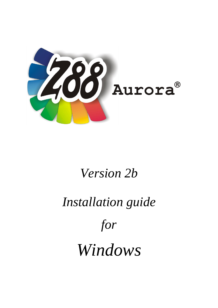

# *Version 2b*

# *Installation guide*

*for*

*Windows*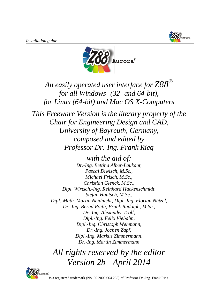



*An easily operated user interface for Z88 for all Windows- (32- and 64-bit), for Linux (64-bit) and Mac OS X-Computers*

*This Freeware Version is the literary property of the Chair for Engineering Design and CAD, University of Bayreuth, Germany, composed and edited by Professor Dr.-Ing. Frank Rieg*

> *with the aid of: Dr.-Ing. Bettina Alber-Laukant, Pascal Diwisch, M.Sc., Michael Frisch, M.Sc., Christian Glenck, M.Sc., Dipl. Wirtsch.-Ing. Reinhard Hackenschmidt, Stefan Hautsch, M.Sc., Dipl.-Math. Martin Neidnicht, Dipl.-Ing. Florian Nützel, Dr.-Ing. Bernd Roith, Frank Rudolph, M.Sc., Dr.-Ing. Alexander Troll, Dipl.-Ing. Felix Viebahn, Dipl.-Ing. Christoph Wehmann, Dr.-Ing. Jochen Zapf, Dipl.-Ing. Markus Zimmermann, Dr.-Ing. Martin Zimmermann*

*All rights reserved by the editor Version 2b April 2014*



is a registered trademark (No. 30 2009 064 238) of Professor Dr.-Ing. Frank Rieg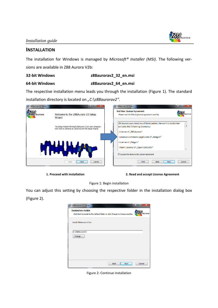

## **INSTALLATION**

The installation for Windows is managed by *Microsoft® Installer (MSI)*. The following versions are available in Z88 Aurora V2b:

### **32-bit Windows z88aurorav2\_32\_en.msi**

## **64-bit Windows z88aurorav2\_64\_en.msi**

The respective installation menu leads you through the installation (Figure 1). The standard installation directory is located on *"C:\z88aurorav2"*.



**1. Proceed with installation 2. Read and accept License Agreement**

Figure 1: Begin installation

You can adjust this setting by choosing the respective folder in the installation dialog box (Figure 2).

| <b>id</b> Z88Aurora V2 Setup |                                                                                | x              |
|------------------------------|--------------------------------------------------------------------------------|----------------|
| <b>Destination Folder</b>    | Click Next to install to the default folder or click Change to choose another. | Aurora         |
| Install Z88Aurora V2 to:     |                                                                                |                |
| C:\Z88AuroraV2\<br>Change    |                                                                                |                |
|                              |                                                                                |                |
|                              |                                                                                |                |
|                              | <b>Back</b>                                                                    | Cancel<br>Next |

Figure 2: Continue installation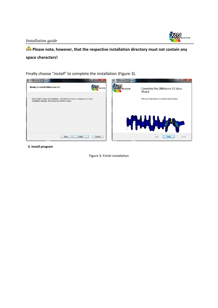

# **Please note, however, that the respective installation directory must not contain any space characters!**

Finally choose "*install*" to complete the installation (Figure 3).



**4. Install program**

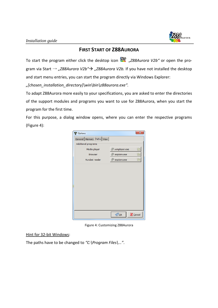

# **FIRST START OF Z88AURORA**

To start the program either click the desktop icon "*Z88Aurora V2b"* or open the program via Start → "Z88Aurora V2b"→ "Z88Aurora V2b. If you have not installed the desktop and start menu entries, you can start the program directly via Windows Explorer:

*"[chosen\_installation\_directory]\win\bin\z88aurora.exe".*

To adapt Z88Aurora more easily to your specifications, you are asked to enter the directories of the support modules and programs you want to use for Z88Aurora, when you start the program for the first time.

For this purpose, a dialog window opens, where you can enter the respective programs (Figure 4):

| <b>了</b> Options              |                          | $\overline{\mathbf{x}}$ |
|-------------------------------|--------------------------|-------------------------|
| General   Memory Paths   View |                          |                         |
| Additional programs           |                          |                         |
| Media player                  | wmplayer.exe             | l F                     |
| <b>Browser</b>                | ை iexplore.exe           | $\overline{ }$          |
| Acrobat reader                | ွ⁄ြ} iexplore.exe        | I F                     |
|                               |                          |                         |
|                               |                          |                         |
|                               |                          |                         |
|                               |                          |                         |
|                               |                          |                         |
|                               |                          |                         |
|                               |                          |                         |
|                               |                          |                         |
|                               |                          |                         |
|                               | $\bigcirc$ <sub>QK</sub> | <b>X</b> Cancel         |

Figure 4: Customizing Z88Aurora

Hint for 32-bit Windows:

The paths have to be changed to *"C:\Program Files\..."*.